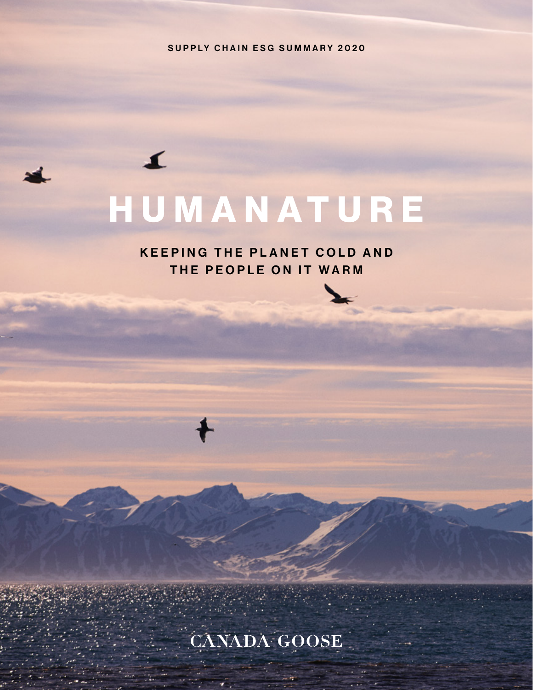SUPPLY CHAIN ESG SUMMARY 2020

# HUMANATURE

 $\blacktriangle$ 

KEEPING THE PLANET COLD AND THE PEOPLE ON IT WARM



CANADA GOOSE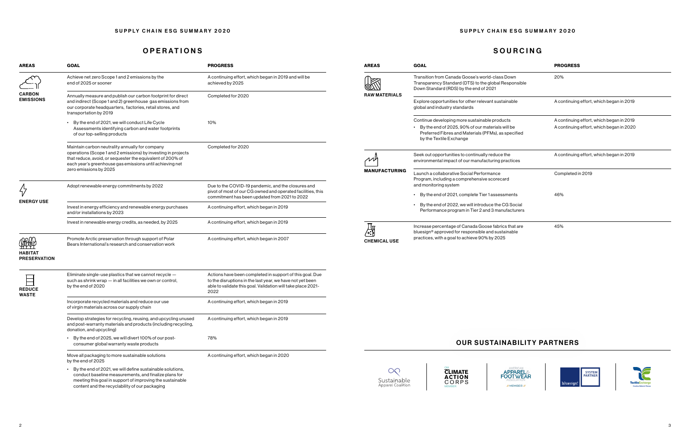## OPERATIONS SOURCING

| <b>AREAS</b>                                         | <b>GOAL</b>                                                                                                                                                                                                                                                          | <b>PROGRESS</b>                                                                                                                                                                               | <b>AREAS</b>                                 | <b>GOAL</b>                                                                                                                                                                         | <b>PROGRESS</b>                                                                          |  |  |  |
|------------------------------------------------------|----------------------------------------------------------------------------------------------------------------------------------------------------------------------------------------------------------------------------------------------------------------------|-----------------------------------------------------------------------------------------------------------------------------------------------------------------------------------------------|----------------------------------------------|-------------------------------------------------------------------------------------------------------------------------------------------------------------------------------------|------------------------------------------------------------------------------------------|--|--|--|
| <b>CARBON</b><br><b>EMISSIONS</b>                    | Achieve net zero Scope 1 and 2 emissions by the<br>end of 2025 or sooner                                                                                                                                                                                             | A continuing effort, which began in 2019 and will be<br>achieved by 2025                                                                                                                      | K                                            | Transition from Canada Goose's world-class Down<br>Transparency Standard (DTS) to the global Responsible<br>Down Standard (RDS) by the end of 2021                                  | 20%                                                                                      |  |  |  |
|                                                      | Annually measure and publish our carbon footprint for direct<br>and indirect (Scope 1 and 2) greenhouse gas emissions from<br>our corporate headquarters, factories, retail stores, and<br>transportation by 2019                                                    | Completed for 2020                                                                                                                                                                            | <b>RAW MATERIALS</b>                         | Explore opportunities for other relevant sustainable<br>global and industry standards                                                                                               | A continuing effort, which began in 2019                                                 |  |  |  |
|                                                      | • By the end of 2021, we will conduct Life Cycle<br>Assessments identifying carbon and water footprints<br>of our top-selling products                                                                                                                               | 10%                                                                                                                                                                                           |                                              | Continue developing more sustainable products<br>By the end of 2025, 90% of our materials will be<br>Preferred Fibres and Materials (PFMs), as specified<br>by the Textile Exchange | A continuing effort, which began in 2019<br>A continuing effort, which began in 2020     |  |  |  |
|                                                      | Maintain carbon neutrality annually for company<br>operations (Scope 1 and 2 emissions) by investing in projects<br>that reduce, avoid, or sequester the equivalent of 200% of<br>each year's greenhouse gas emissions until achieving net<br>zero emissions by 2025 | Completed for 2020                                                                                                                                                                            | $\cal M$<br><b>MANUFACTURING</b>             | Seek out opportunities to continually reduce the<br>environmental impact of our manufacturing practices                                                                             | A continuing effort, which began in 2019                                                 |  |  |  |
| <b>ENERGY USE</b>                                    | Adopt renewable energy commitments by 2022                                                                                                                                                                                                                           | Due to the COVID-19 pandemic, and the closures and<br>pivot of most of our CG owned and operated facilities, this                                                                             |                                              | Launch a collaborative Social Performance<br>Program, including a comprehensive scorecard<br>and monitoring system<br>By the end of 2021, complete Tier 1 assessments               | Completed in 2019<br>46%                                                                 |  |  |  |
|                                                      | Invest in energy efficiency and renewable energy purchases<br>and/or installations by 2023                                                                                                                                                                           | commitment has been updated from 2021 to 2022<br>A continuing effort, which began in 2019                                                                                                     |                                              | By the end of 2022, we will introduce the CG Social<br>Performance program in Tier 2 and 3 manufacturers                                                                            |                                                                                          |  |  |  |
|                                                      | Invest in renewable energy credits, as needed, by 2025                                                                                                                                                                                                               | A continuing effort, which began in 2019                                                                                                                                                      | 赑                                            | Increase percentage of Canada Goose fabrics that are<br>bluesign® approved for responsible and sustainable                                                                          | 45%                                                                                      |  |  |  |
| <b>APAB</b><br><b>HABITAT</b><br><b>PRESERVATION</b> | Promote Arctic preservation through support of Polar<br>Bears International's research and conservation work                                                                                                                                                         | A continuing effort, which began in 2007                                                                                                                                                      | <b>CHEMICAL USE</b>                          | practices, with a goal to achieve 90% by 2025                                                                                                                                       |                                                                                          |  |  |  |
| $\boxminus$<br><b>REDUCE</b><br><b>WASTE</b>         | Eliminate single-use plastics that we cannot recycle -<br>such as shrink wrap - in all facilities we own or control,<br>by the end of 2020                                                                                                                           | Actions have been completed in support of this goal. Due<br>to the disruptions in the last year, we have not yet been<br>able to validate this goal. Validation will take place 2021-<br>2022 |                                              |                                                                                                                                                                                     |                                                                                          |  |  |  |
|                                                      | Incorporate recycled materials and reduce our use<br>of virgin materials across our supply chain                                                                                                                                                                     | A continuing effort, which began in 2019                                                                                                                                                      |                                              |                                                                                                                                                                                     |                                                                                          |  |  |  |
|                                                      | Develop strategies for recycling, reusing, and upcycling unused<br>and post-warranty materials and products (including recycling,<br>donation, and upcycling)                                                                                                        | A continuing effort, which began in 2019                                                                                                                                                      |                                              |                                                                                                                                                                                     |                                                                                          |  |  |  |
|                                                      | • By the end of 2025, we will divert 100% of our post-<br>consumer global warranty waste products                                                                                                                                                                    | 78%                                                                                                                                                                                           |                                              | <b>OUR SUSTAINABILITY PARTNERS</b>                                                                                                                                                  |                                                                                          |  |  |  |
|                                                      | Move all packaging to more sustainable solutions<br>by the end of 2025                                                                                                                                                                                               | A continuing effort, which began in 2020                                                                                                                                                      |                                              |                                                                                                                                                                                     |                                                                                          |  |  |  |
|                                                      | • By the end of 2021, we will define sustainable solutions,<br>conduct baseline measurements, and finalize plans for<br>meeting this goal in support of improving the sustainable<br>content and the recyclability of our packaging                                  |                                                                                                                                                                                               | $\infty$<br>Sustainable<br>Apparel Coalition | <b>CLIMATE</b><br><b>APPAREL</b><br>FOOTWEAR<br><b>ACTION</b><br>CORPS<br><b>J/MEMBERA</b>                                                                                          | SYSTEM<br>PARTNER<br><b>TextileExchan</b><br>bluesign<br><b>Creating Material Change</b> |  |  |  |







| SUPPLY CHAIN ESG SUMMARY 2020 | SUPPLY CHAIN ESG SUMMARY 2020 |
|-------------------------------|-------------------------------|
|                               |                               |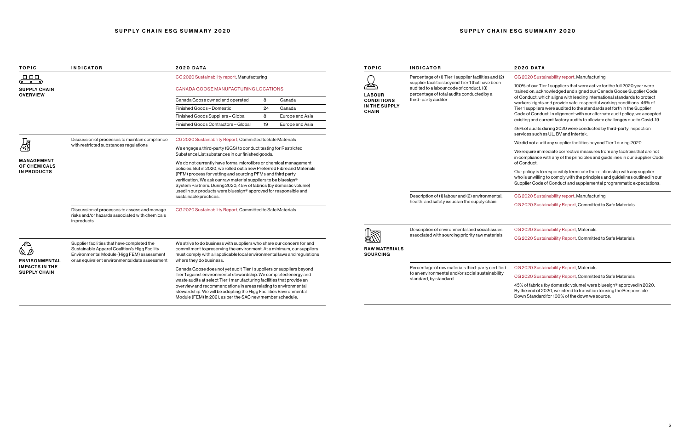## SUPPLY CHAIN ESG SUMMARY 2020 **Example 2018** SUPPLY CHAIN ESG SUMMARY 2020

| <b>TOPIC</b>                                                   | <b>INDICATOR</b>                                                                                              | <b>2020 DATA</b>                                                                                                                                                                                                                                                                                                                                                                                                                                   |    |                      | <b>TOPIC</b>                  | <b>INDICATOR</b>                                                                                                               |
|----------------------------------------------------------------|---------------------------------------------------------------------------------------------------------------|----------------------------------------------------------------------------------------------------------------------------------------------------------------------------------------------------------------------------------------------------------------------------------------------------------------------------------------------------------------------------------------------------------------------------------------------------|----|----------------------|-------------------------------|--------------------------------------------------------------------------------------------------------------------------------|
| 000<br>ాం ం                                                    |                                                                                                               | CG 2020 Sustainability report, Manufacturing                                                                                                                                                                                                                                                                                                                                                                                                       |    |                      |                               | Percentage of (1) Tier 1 supplier facilities and (2)<br>supplier facilities beyond Tier 1 that have been                       |
| <b>SUPPLY CHAIN</b>                                            |                                                                                                               | CANADA GOOSE MANUFACTURING LOCATIONS                                                                                                                                                                                                                                                                                                                                                                                                               |    |                      | <b>LABOUR</b>                 | audited to a labour code of conduct, (3)<br>percentage of total audits conducted by a                                          |
| <b>OVERVIEW</b>                                                |                                                                                                               | Canada Goose owned and operated                                                                                                                                                                                                                                                                                                                                                                                                                    | 8  | Canada               | <b>CONDITIONS</b>             | third-party auditor                                                                                                            |
|                                                                |                                                                                                               | Finished Goods - Domestic                                                                                                                                                                                                                                                                                                                                                                                                                          | 24 | Canada               | IN THE SUPPLY<br><b>CHAIN</b> |                                                                                                                                |
|                                                                |                                                                                                               | Finished Goods Suppliers - Global                                                                                                                                                                                                                                                                                                                                                                                                                  | 8  | Europe and Asia      |                               |                                                                                                                                |
|                                                                |                                                                                                               | Finished Goods Contractors - Global                                                                                                                                                                                                                                                                                                                                                                                                                | 19 | Europe and Asia      |                               |                                                                                                                                |
|                                                                | Discussion of processes to maintain compliance                                                                | CG 2020 Sustainability Report, Committed to Safe Materials                                                                                                                                                                                                                                                                                                                                                                                         |    |                      |                               |                                                                                                                                |
| 郻                                                              | with restricted substances regulations                                                                        | We engage a third-party (SGS) to conduct testing for Restricted<br>Substance List substances in our finished goods.                                                                                                                                                                                                                                                                                                                                |    |                      |                               |                                                                                                                                |
| <b>MANAGEMENT</b><br><b>OF CHEMICALS</b><br><b>IN PRODUCTS</b> |                                                                                                               | We do not currently have formal microfibre or chemical management<br>policies. But in 2020, we rolled out a new Preferred Fibre and Materials<br>(PFM) process for vetting and sourcing PFMs and third party<br>verification. We ask our raw material suppliers to be bluesign®<br>System Partners. During 2020, 45% of fabrics (by domestic volume)<br>used in our products were bluesign® approved for responsible and<br>sustainable practices. |    |                      |                               | Description of (1) labour and (2) environmental,<br>health, and safety issues in the supply chain                              |
|                                                                | Discussion of processes to assess and manage<br>risks and/or hazards associated with chemicals<br>in products | CG 2020 Sustainability Report, Committed to Safe Materials                                                                                                                                                                                                                                                                                                                                                                                         |    |                      |                               |                                                                                                                                |
|                                                                |                                                                                                               |                                                                                                                                                                                                                                                                                                                                                                                                                                                    |    |                      |                               | Description of environmental and social issues<br>associated with sourcing priority raw materials                              |
|                                                                | Supplier facilities that have completed the<br>Sustainable Apparel Coalition's Higg Facility                  | We strive to do business with suppliers who share our concern for and<br>commitment to preserving the environment. At a minimum, our suppliers<br>must comply with all applicable local environmental laws and regulations<br>where they do business.                                                                                                                                                                                              |    | <b>RAW MATERIALS</b> |                               |                                                                                                                                |
| <b>ENVIRONMENTAL</b>                                           | Environmental Module (Higg FEM) assessment<br>or an equivalent environmental data assessment                  |                                                                                                                                                                                                                                                                                                                                                                                                                                                    |    | <b>SOURCING</b>      |                               |                                                                                                                                |
| <b>IMPACTS IN THE</b><br><b>SUPPLY CHAIN</b>                   |                                                                                                               | Canada Goose does not yet audit Tier 1 suppliers or suppliers beyond<br>Tier 1 against environmental stewardship. We completed energy and<br>waste audits at select Tier 1 manufacturing facilities that provide an<br>overview and recommendations in areas relating to environmental<br>stewardship. We will be adopting the Higg Facilities Environmental<br>Module (FEM) in 2021, as per the SAC new member schedule.                          |    |                      |                               | Percentage of raw materials third-party certified<br>to an environmental and/or social sustainability<br>standard, by standard |

### 2020 DATA

CG 2020 Sustainability report, Manufacturing

100% of our Tier 1 suppliers that were active for the full 2020 year were trained on, acknowledged and signed our Canada Goose Supplier Code of Conduct, which aligns with leading international standards to protect workers' rights and provide safe, respectful working conditions. 46% of Tier 1 suppliers were audited to the standards set forth in the Supplier Code of Conduct. In alignment with our alternate audit policy, we accepted existing and current factory audits to alleviate challenges due to Covid-19.

46% of audits during 2020 were conducted by third-party inspection services such as UL, BV and Intertek.

We did not audit any supplier facilities beyond Tier 1 during 2020.

We require immediate corrective measures from any facilities that are not in compliance with any of the principles and guidelines in our Supplier Code of Conduct.

Our policy is to responsibly terminate the relationship with any supplier who is unwilling to comply with the principles and guidelines outlined in our Supplier Code of Conduct and supplemental programmatic expectations.

CG 2020 Sustainability report, Manufacturing

CG 2020 Sustainability Report, Committed to Safe Materials

CG 2020 Sustainability Report, Materials

CG 2020 Sustainability Report, Committed to Safe Materials

CG 2020 Sustainability Report, Materials

CG 2020 Sustainability Report, Committed to Safe Materials

45% of fabrics (by domestic volume) were bluesign® approved in 2020. By the end of 2020, we intend to transition to using the Responsible Down Standard for 100% of the down we source.